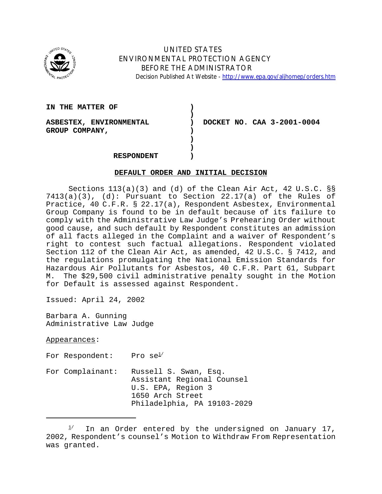

# UNITED STATES ENVIRONMENTAL PROTECTION AGENCY BEFORE THE ADMINISTRATOR Decision Published At Website - http://www.epa.gov/aljhomep/orders.htm

| IN THE MATTER OF        |                            |
|-------------------------|----------------------------|
| ASBESTEX, ENVIRONMENTAL | DOCKET NO. CAA 3-2001-0004 |
|                         |                            |
| GROUP COMPANY,          |                            |
|                         |                            |
|                         |                            |
| <b>RESPONDENT</b>       |                            |

### **DEFAULT ORDER AND INITIAL DECISION**

Sections 113(a)(3) and (d) of the Clean Air Act, 42 U.S.C. §§  $7413(a)(3)$ , (d): Pursuant to Section 22.17(a) of the Rules of Practice, 40 C.F.R. § 22.17(a), Respondent Asbestex, Environmental Group Company is found to be in default because of its failure to comply with the Administrative Law Judge's Prehearing Order without good cause, and such default by Respondent constitutes an admission of all facts alleged in the Complaint and a waiver of Respondent's right to contest such factual allegations. Respondent violated Section 112 of the Clean Air Act, as amended, 42 U.S.C. § 7412, and the regulations promulgating the National Emission Standards for Hazardous Air Pollutants for Asbestos, 40 C.F.R. Part 61, Subpart M. The \$29,500 civil administrative penalty sought in the Motion for Default is assessed against Respondent.

Issued: April 24, 2002

Barbara A. Gunning Administrative Law Judge

Appearances:

For Respondent: Pro  $se^{\frac{1}{2}}$ 

For Complainant: Russell S. Swan, Esq. Assistant Regional Counsel U.S. EPA, Region 3 1650 Arch Street Philadelphia, PA 19103-2029

In an Order entered by the undersigned on January 17, 2002, Respondent's counsel's Motion to Withdraw From Representation was granted.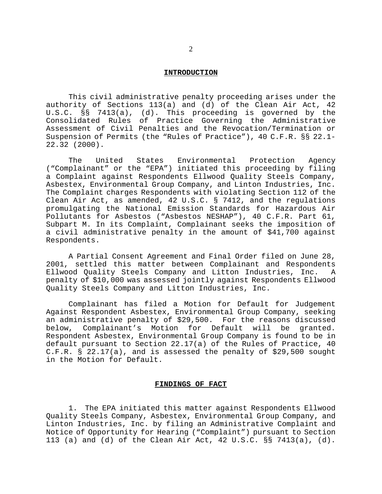#### **INTRODUCTION**

This civil administrative penalty proceeding arises under the authority of Sections 113(a) and (d) of the Clean Air Act, 42 U.S.C. §§ 7413(a), (d). This proceeding is governed by the Consolidated Rules of Practice Governing the Administrative Assessment of Civil Penalties and the Revocation/Termination or Suspension of Permits (the "Rules of Practice"), 40 C.F.R. §§ 22.1- 22.32 (2000).

The United States Environmental Protection Agency ("Complainant" or the "EPA") initiated this proceeding by filing a Complaint against Respondents Ellwood Quality Steels Company, Asbestex, Environmental Group Company, and Linton Industries, Inc. The Complaint charges Respondents with violating Section 112 of the Clean Air Act, as amended, 42 U.S.C. § 7412, and the regulations promulgating the National Emission Standards for Hazardous Air Pollutants for Asbestos ("Asbestos NESHAP"), 40 C.F.R. Part 61, Subpart M. In its Complaint, Complainant seeks the imposition of a civil administrative penalty in the amount of \$41,700 against Respondents.

A Partial Consent Agreement and Final Order filed on June 28, 2001, settled this matter between Complainant and Respondents Ellwood Quality Steels Company and Litton Industries, Inc. A penalty of \$10,000 was assessed jointly against Respondents Ellwood Quality Steels Company and Litton Industries, Inc.

Complainant has filed a Motion for Default for Judgement Against Respondent Asbestex, Environmental Group Company, seeking an administrative penalty of \$29,500. For the reasons discussed below, Complainant's Motion for Default will be granted. Respondent Asbestex, Environmental Group Company is found to be in default pursuant to Section 22.17(a) of the Rules of Practice, 40 C.F.R. § 22.17(a), and is assessed the penalty of \$29,500 sought in the Motion for Default.

# **FINDINGS OF FACT**

1. The EPA initiated this matter against Respondents Ellwood Quality Steels Company, Asbestex, Environmental Group Company, and Linton Industries, Inc. by filing an Administrative Complaint and Notice of Opportunity for Hearing ("Complaint") pursuant to Section 113 (a) and (d) of the Clean Air Act, 42 U.S.C. §§ 7413(a), (d).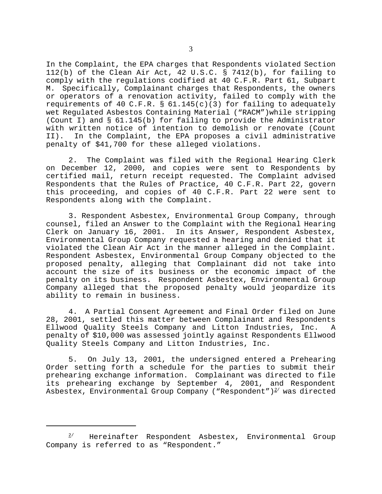In the Complaint, the EPA charges that Respondents violated Section 112(b) of the Clean Air Act, 42 U.S.C. § 7412(b), for failing to comply with the regulations codified at 40 C.F.R. Part 61, Subpart M. Specifically, Complainant charges that Respondents, the owners or operators of a renovation activity, failed to comply with the requirements of 40 C.F.R. §  $61.145(c)(3)$  for failing to adequately wet Regulated Asbestos Containing Material ("RACM")while stripping (Count I) and § 61.145(b) for failing to provide the Administrator with written notice of intention to demolish or renovate (Count II). In the Complaint, the EPA proposes a civil administrative penalty of \$41,700 for these alleged violations.

2. The Complaint was filed with the Regional Hearing Clerk on December 12, 2000, and copies were sent to Respondents by certified mail, return receipt requested. The Complaint advised Respondents that the Rules of Practice, 40 C.F.R. Part 22, govern this proceeding, and copies of 40 C.F.R. Part 22 were sent to Respondents along with the Complaint.

3. Respondent Asbestex, Environmental Group Company, through counsel, filed an Answer to the Complaint with the Regional Hearing Clerk on January 16, 2001. In its Answer, Respondent Asbestex, Environmental Group Company requested a hearing and denied that it violated the Clean Air Act in the manner alleged in the Complaint. Respondent Asbestex, Environmental Group Company objected to the proposed penalty, alleging that Complainant did not take into account the size of its business or the economic impact of the penalty on its business. Respondent Asbestex, Environmental Group Company alleged that the proposed penalty would jeopardize its ability to remain in business.

4. A Partial Consent Agreement and Final Order filed on June 28, 2001, settled this matter between Complainant and Respondents Ellwood Quality Steels Company and Litton Industries, Inc. A penalty of \$10,000 was assessed jointly against Respondents Ellwood Quality Steels Company and Litton Industries, Inc.

5. On July 13, 2001, the undersigned entered a Prehearing Order setting forth a schedule for the parties to submit their prehearing exchange information. Complainant was directed to file its prehearing exchange by September 4, 2001, and Respondent Asbestex, Environmental Group Company ("Respondent")<sup>2</sup> was directed

 $2$ <sup>1</sup> Hereinafter Respondent Asbestex, Environmental Group Company is referred to as "Respondent."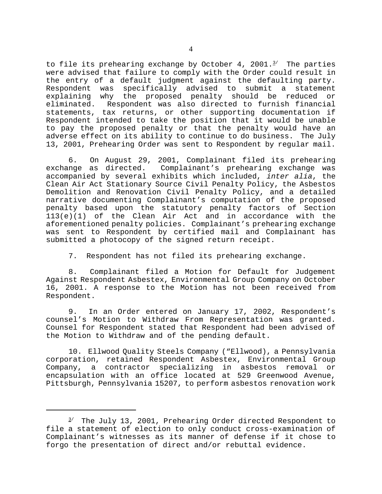to file its prehearing exchange by October 4, 2001. $3/$  The parties were advised that failure to comply with the Order could result in the entry of a default judgment against the defaulting party. Respondent was specifically advised to submit a statement explaining why the proposed penalty should be reduced or eliminated. Respondent was also directed to furnish financial statements, tax returns, or other supporting documentation if Respondent intended to take the position that it would be unable to pay the proposed penalty or that the penalty would have an adverse effect on its ability to continue to do business. The July 13, 2001, Prehearing Order was sent to Respondent by regular mail.

6. On August 29, 2001, Complainant filed its prehearing exchange as directed. Complainant's prehearing exchange was accompanied by several exhibits which included, *inter alia*, the Clean Air Act Stationary Source Civil Penalty Policy, the Asbestos Demolition and Renovation Civil Penalty Policy, and a detailed narrative documenting Complainant's computation of the proposed penalty based upon the statutory penalty factors of Section 113(e)(1) of the Clean Air Act and in accordance with the aforementioned penalty policies. Complainant's prehearing exchange was sent to Respondent by certified mail and Complainant has submitted a photocopy of the signed return receipt.

7. Respondent has not filed its prehearing exchange.

8. Complainant filed a Motion for Default for Judgement Against Respondent Asbestex, Environmental Group Company on October 16, 2001. A response to the Motion has not been received from Respondent.

9. In an Order entered on January 17, 2002, Respondent's counsel's Motion to Withdraw From Representation was granted. Counsel for Respondent stated that Respondent had been advised of the Motion to Withdraw and of the pending default.

10. Ellwood Quality Steels Company ("Ellwood), a Pennsylvania corporation, retained Respondent Asbestex, Environmental Group Company, a contractor specializing in asbestos removal or encapsulation with an office located at 529 Greenwood Avenue, Pittsburgh, Pennsylvania 15207, to perform asbestos renovation work

 $3'$  The July 13, 2001, Prehearing Order directed Respondent to file a statement of election to only conduct cross-examination of Complainant's witnesses as its manner of defense if it chose to forgo the presentation of direct and/or rebuttal evidence.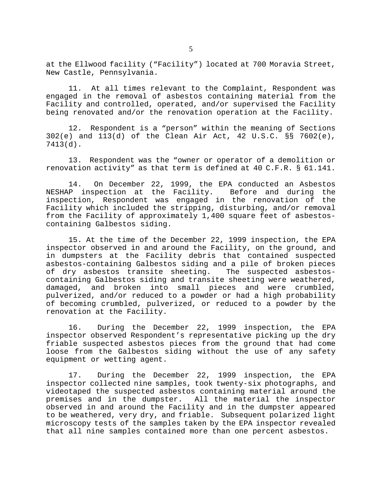at the Ellwood facility ("Facility") located at 700 Moravia Street, New Castle, Pennsylvania.

11. At all times relevant to the Complaint, Respondent was engaged in the removal of asbestos containing material from the Facility and controlled, operated, and/or supervised the Facility being renovated and/or the renovation operation at the Facility.

12. Respondent is a "person" within the meaning of Sections 302(e) and 113(d) of the Clean Air Act, 42 U.S.C. §§ 7602(e), 7413(d).

13. Respondent was the "owner or operator of a demolition or renovation activity" as that term is defined at 40 C.F.R. § 61.141.

14. On December 22, 1999, the EPA conducted an Asbestos NESHAP inspection at the Facility. Before and during the inspection, Respondent was engaged in the renovation of the Facility which included the stripping, disturbing, and/or removal from the Facility of approximately 1,400 square feet of asbestoscontaining Galbestos siding.

15. At the time of the December 22, 1999 inspection, the EPA inspector observed in and around the Facility, on the ground, and in dumpsters at the Facility debris that contained suspected asbestos-containing Galbestos siding and a pile of broken pieces of dry asbestos transite sheeting. The suspected asbestoscontaining Galbestos siding and transite sheeting were weathered, damaged, and broken into small pieces and were crumbled, pulverized, and/or reduced to a powder or had a high probability of becoming crumbled, pulverized, or reduced to a powder by the renovation at the Facility.

16. During the December 22, 1999 inspection, the EPA inspector observed Respondent's representative picking up the dry friable suspected asbestos pieces from the ground that had come loose from the Galbestos siding without the use of any safety equipment or wetting agent.

17. During the December 22, 1999 inspection, the EPA inspector collected nine samples, took twenty-six photographs, and videotaped the suspected asbestos containing material around the premises and in the dumpster. All the material the inspector observed in and around the Facility and in the dumpster appeared to be weathered, very dry, and friable. Subsequent polarized light microscopy tests of the samples taken by the EPA inspector revealed that all nine samples contained more than one percent asbestos.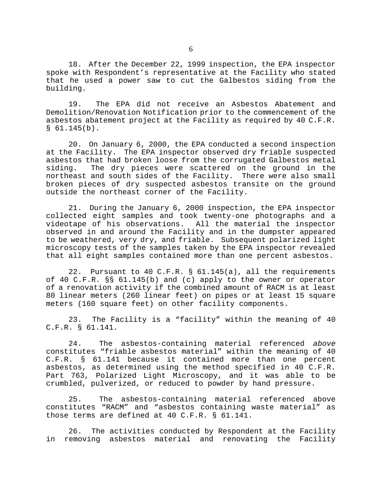18. After the December 22, 1999 inspection, the EPA inspector spoke with Respondent's representative at the Facility who stated that he used a power saw to cut the Galbestos siding from the building.

19. The EPA did not receive an Asbestos Abatement and Demolition/Renovation Notification prior to the commencement of the asbestos abatement project at the Facility as required by 40 C.F.R.  $$61.145(b).$ 

20. On January 6, 2000, the EPA conducted a second inspection at the Facility. The EPA inspector observed dry friable suspected asbestos that had broken loose from the corrugated Galbestos metal siding. The dry pieces were scattered on the ground in the northeast and south sides of the Facility. There were also small broken pieces of dry suspected asbestos transite on the ground outside the northeast corner of the Facility.

21. During the January 6, 2000 inspection, the EPA inspector collected eight samples and took twenty-one photographs and a videotape of his observations. All the material the inspector observed in and around the Facility and in the dumpster appeared to be weathered, very dry, and friable. Subsequent polarized light microscopy tests of the samples taken by the EPA inspector revealed that all eight samples contained more than one percent asbestos.

22. Pursuant to 40 C.F.R. § 61.145(a), all the requirements of 40 C.F.R. §§ 61.145(b) and (c) apply to the owner or operator of a renovation activity if the combined amount of RACM is at least 80 linear meters (260 linear feet) on pipes or at least 15 square meters (160 square feet) on other facility components.

23. The Facility is a "facility" within the meaning of 40 C.F.R. § 61.141.

24. The asbestos-containing material referenced *above*  constitutes "friable asbestos material" within the meaning of 40 C.F.R. § 61.141 because it contained more than one percent asbestos, as determined using the method specified in 40 C.F.R. Part 763, Polarized Light Microscopy, and it was able to be crumbled, pulverized, or reduced to powder by hand pressure.

25. The asbestos-containing material referenced above constitutes "RACM" and "asbestos containing waste material" as those terms are defined at 40 C.F.R. § 61.141.

26. The activities conducted by Respondent at the Facility in removing asbestos material and renovating the Facility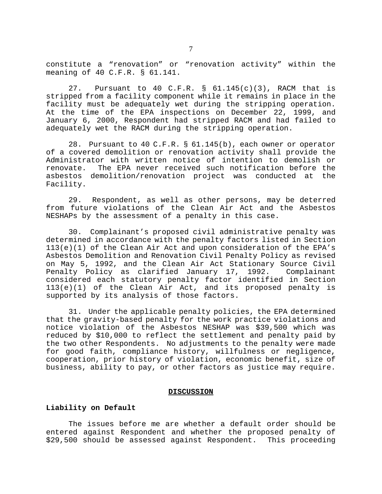constitute a "renovation" or "renovation activity" within the meaning of 40 C.F.R. § 61.141.

27. Pursuant to 40 C.F.R. § 61.145(c)(3), RACM that is stripped from a facility component while it remains in place in the facility must be adequately wet during the stripping operation. At the time of the EPA inspections on December 22, 1999, and January 6, 2000, Respondent had stripped RACM and had failed to adequately wet the RACM during the stripping operation.

28. Pursuant to 40 C.F.R. § 61.145(b), each owner or operator of a covered demolition or renovation activity shall provide the Administrator with written notice of intention to demolish or renovate. The EPA never received such notification before the asbestos demolition/renovation project was conducted at the Facility.

29. Respondent, as well as other persons, may be deterred from future violations of the Clean Air Act and the Asbestos NESHAPs by the assessment of a penalty in this case.

30. Complainant's proposed civil administrative penalty was determined in accordance with the penalty factors listed in Section 113(e)(1) of the Clean Air Act and upon consideration of the EPA's Asbestos Demolition and Renovation Civil Penalty Policy as revised on May 5, 1992, and the Clean Air Act Stationary Source Civil Penalty Policy as clarified January 17, 1992. Complainant considered each statutory penalty factor identified in Section 113(e)(1) of the Clean Air Act, and its proposed penalty is supported by its analysis of those factors.

31. Under the applicable penalty policies, the EPA determined that the gravity-based penalty for the work practice violations and notice violation of the Asbestos NESHAP was \$39,500 which was reduced by \$10,000 to reflect the settlement and penalty paid by the two other Respondents. No adjustments to the penalty were made for good faith, compliance history, willfulness or negligence, cooperation, prior history of violation, economic benefit, size of business, ability to pay, or other factors as justice may require.

#### **DISCUSSION**

# **Liability on Default**

The issues before me are whether a default order should be entered against Respondent and whether the proposed penalty of \$29,500 should be assessed against Respondent. This proceeding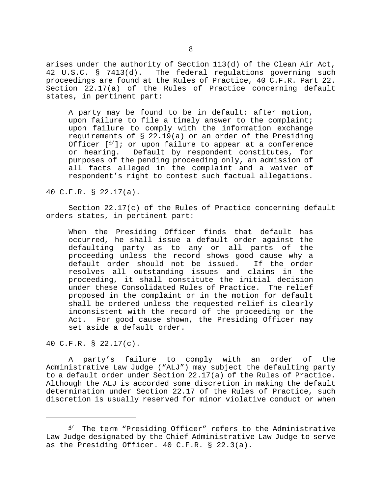arises under the authority of Section 113(d) of the Clean Air Act, 42 U.S.C. § 7413(d). The federal regulations governing such proceedings are found at the Rules of Practice, 40 C.F.R. Part 22. Section 22.17(a) of the Rules of Practice concerning default states, in pertinent part:

A party may be found to be in default: after motion, upon failure to file a timely answer to the complaint; upon failure to comply with the information exchange requirements of  $\S$  22.19(a) or an order of the Presiding Officer  $[4]$ ; or upon failure to appear at a conference or hearing. Default by respondent constitutes, for purposes of the pending proceeding only, an admission of all facts alleged in the complaint and a waiver of respondent's right to contest such factual allegations.

40 C.F.R. § 22.17(a).

Section 22.17(c) of the Rules of Practice concerning default orders states, in pertinent part:

When the Presiding Officer finds that default has occurred, he shall issue a default order against the defaulting party as to any or all parts of the proceeding unless the record shows good cause why a default order should not be issued. If the order resolves all outstanding issues and claims in the proceeding, it shall constitute the initial decision under these Consolidated Rules of Practice. The relief proposed in the complaint or in the motion for default shall be ordered unless the requested relief is clearly inconsistent with the record of the proceeding or the Act. For good cause shown, the Presiding Officer may set aside a default order.

40 C.F.R. § 22.17(c).

A party's failure to comply with an order of the Administrative Law Judge ("ALJ") may subject the defaulting party to a default order under Section 22.17(a) of the Rules of Practice. Although the ALJ is accorded some discretion in making the default determination under Section 22.17 of the Rules of Practice, such discretion is usually reserved for minor violative conduct or when

 $4'$  The term "Presiding Officer" refers to the Administrative Law Judge designated by the Chief Administrative Law Judge to serve as the Presiding Officer. 40 C.F.R. § 22.3(a).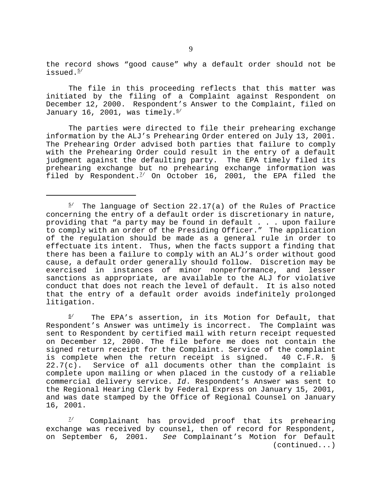the record shows "good cause" why a default order should not be issued.<sup>5/</sup>

The file in this proceeding reflects that this matter was initiated by the filing of a Complaint against Respondent on December 12, 2000. Respondent's Answer to the Complaint, filed on January 16, 2001, was timely. $6/$ 

The parties were directed to file their prehearing exchange information by the ALJ's Prehearing Order entered on July 13, 2001. The Prehearing Order advised both parties that failure to comply with the Prehearing Order could result in the entry of a default judgment against the defaulting party. The EPA timely filed its prehearing exchange but no prehearing exchange information was filed by Respondent.<sup> $7/$ </sup> On October 16, 2001, the EPA filed the

 $6/$  The EPA's assertion, in its Motion for Default, that Respondent's Answer was untimely is incorrect. The Complaint was sent to Respondent by certified mail with return receipt requested on December 12, 2000. The file before me does not contain the signed return receipt for the Complaint. Service of the complaint is complete when the return receipt is signed. 40 C.F.R. §  $22.7(c)$ . Service of all documents other than the complaint is complete upon mailing or when placed in the custody of a reliable commercial delivery service. *Id*. Respondent's Answer was sent to the Regional Hearing Clerk by Federal Express on January 15, 2001, and was date stamped by the Office of Regional Counsel on January 16, 2001.

 $7$  Complainant has provided proof that its prehearing exchange was received by counsel, then of record for Respondent, on September 6, 2001. *See* Complainant's Motion for Default (continued...)

 $5'$  The language of Section 22.17(a) of the Rules of Practice concerning the entry of a default order is discretionary in nature, providing that "a party may be found in default . . . upon failure to comply with an order of the Presiding Officer." The application of the regulation should be made as a general rule in order to effectuate its intent. Thus, when the facts support a finding that there has been a failure to comply with an ALJ's order without good cause, a default order generally should follow. Discretion may be exercised in instances of minor nonperformance, and lesser sanctions as appropriate, are available to the ALJ for violative conduct that does not reach the level of default. It is also noted that the entry of a default order avoids indefinitely prolonged litigation.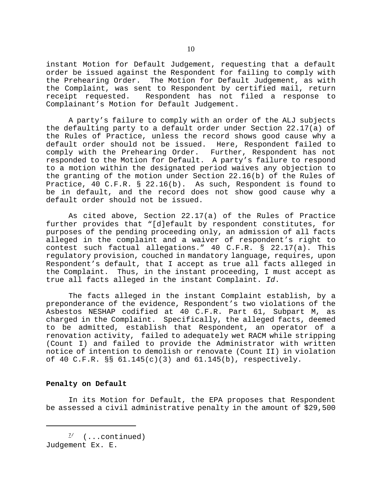instant Motion for Default Judgement, requesting that a default order be issued against the Respondent for failing to comply with the Prehearing Order. The Motion for Default Judgement, as with the Complaint, was sent to Respondent by certified mail, return receipt requested. Respondent has not filed a response to Complainant's Motion for Default Judgement.

A party's failure to comply with an order of the ALJ subjects the defaulting party to a default order under Section 22.17(a) of the Rules of Practice, unless the record shows good cause why a default order should not be issued. Here, Respondent failed to comply with the Prehearing Order. Further, Respondent has not responded to the Motion for Default. A party's failure to respond to a motion within the designated period waives any objection to the granting of the motion under Section 22.16(b) of the Rules of Practice, 40 C.F.R. § 22.16(b). As such, Respondent is found to be in default, and the record does not show good cause why a default order should not be issued.

As cited above, Section 22.17(a) of the Rules of Practice further provides that "[d]efault by respondent constitutes, for purposes of the pending proceeding only, an admission of all facts alleged in the complaint and a waiver of respondent's right to contest such factual allegations." 40 C.F.R. § 22.17(a). This regulatory provision, couched in mandatory language, requires, upon Respondent's default, that I accept as true all facts alleged in the Complaint. Thus, in the instant proceeding, I must accept as true all facts alleged in the instant Complaint. *Id*.

The facts alleged in the instant Complaint establish, by a preponderance of the evidence, Respondent's two violations of the Asbestos NESHAP codified at 40 C.F.R. Part 61, Subpart M, as charged in the Complaint. Specifically, the alleged facts, deemed to be admitted, establish that Respondent, an operator of a renovation activity, failed to adequately wet RACM while stripping (Count I) and failed to provide the Administrator with written notice of intention to demolish or renovate (Count II) in violation of 40 C.F.R. §§ 61.145(c)(3) and 61.145(b), respectively.

# **Penalty on Default**

In its Motion for Default, the EPA proposes that Respondent be assessed a civil administrative penalty in the amount of \$29,500

 $\frac{7}{ }$  (...continued) Judgement Ex. E.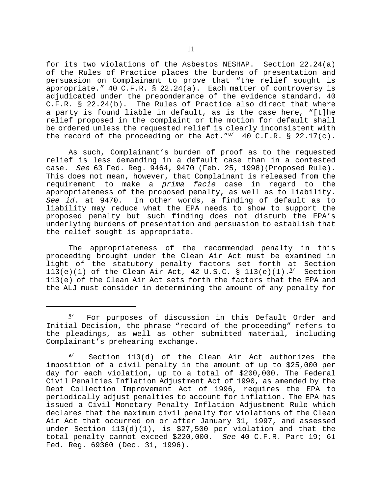for its two violations of the Asbestos NESHAP. Section 22.24(a) of the Rules of Practice places the burdens of presentation and persuasion on Complainant to prove that "the relief sought is appropriate." 40 C.F.R. § 22.24(a). Each matter of controversy is adjudicated under the preponderance of the evidence standard. 40 C.F.R. § 22.24(b). The Rules of Practice also direct that where a party is found liable in default, as is the case here, "[t]he relief proposed in the complaint or the motion for default shall be ordered unless the requested relief is clearly inconsistent with the record of the proceeding or the Act.  $^{\prime\prime\prime}$  40 C.F.R. § 22.17(c).

As such, Complainant's burden of proof as to the requested relief is less demanding in a default case than in a contested case. *See* 63 Fed. Reg. 9464, 9470 (Feb. 25, 1998)(Proposed Rule). This does not mean, however, that Complainant is released from the requirement to make a *prima facie* case in regard to the appropriateness of the proposed penalty, as well as to liability. *See id*. at 9470. In other words, a finding of default as to liability may reduce what the EPA needs to show to support the proposed penalty but such finding does not disturb the EPA's underlying burdens of presentation and persuasion to establish that the relief sought is appropriate.

The appropriateness of the recommended penalty in this proceeding brought under the Clean Air Act must be examined in light of the statutory penalty factors set forth at Section 113(e)(1) of the Clean Air Act, 42 U.S.C. § 113(e)(1). $^{2/2}$  Section 113(e) of the Clean Air Act sets forth the factors that the EPA and the ALJ must consider in determining the amount of any penalty for

 $8'$  For purposes of discussion in this Default Order and Initial Decision, the phrase "record of the proceeding" refers to the pleadings, as well as other submitted material, including Complainant's prehearing exchange.

 $9'$  Section 113(d) of the Clean Air Act authorizes the imposition of a civil penalty in the amount of up to \$25,000 per day for each violation, up to a total of \$200,000. The Federal Civil Penalties Inflation Adjustment Act of 1990, as amended by the Debt Collection Improvement Act of 1996, requires the EPA to periodically adjust penalties to account for inflation. The EPA has issued a Civil Monetary Penalty Inflation Adjustment Rule which declares that the maximum civil penalty for violations of the Clean Air Act that occurred on or after January 31, 1997, and assessed under Section  $113(d)(1)$ , is \$27,500 per violation and that the total penalty cannot exceed \$220,000. *See* 40 C.F.R. Part 19; 61 Fed. Reg. 69360 (Dec. 31, 1996).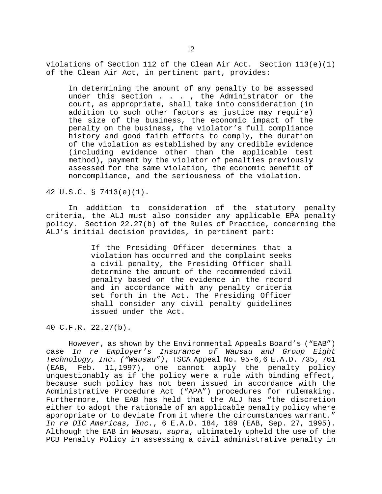violations of Section 112 of the Clean Air Act. Section  $113(e)(1)$ of the Clean Air Act, in pertinent part, provides:

In determining the amount of any penalty to be assessed under this section . . . , the Administrator or the court, as appropriate, shall take into consideration (in addition to such other factors as justice may require) the size of the business, the economic impact of the penalty on the business, the violator's full compliance history and good faith efforts to comply, the duration of the violation as established by any credible evidence (including evidence other than the applicable test method), payment by the violator of penalties previously assessed for the same violation, the economic benefit of noncompliance, and the seriousness of the violation.

42 U.S.C. § 7413(e)(1).

In addition to consideration of the statutory penalty criteria, the ALJ must also consider any applicable EPA penalty policy. Section 22.27(b) of the Rules of Practice, concerning the ALJ's initial decision provides, in pertinent part:

> If the Presiding Officer determines that a violation has occurred and the complaint seeks a civil penalty, the Presiding Officer shall determine the amount of the recommended civil penalty based on the evidence in the record and in accordance with any penalty criteria set forth in the Act. The Presiding Officer shall consider any civil penalty guidelines issued under the Act.

40 C.F.R. 22.27(b).

However, as shown by the Environmental Appeals Board's ("EAB") case *In re Employer's Insurance of Wausau and Group Eight Technology, Inc. ("Wausau")*, TSCA Appeal No. 95-6,6 E.A.D. 735, 761 (EAB, Feb. 11,1997), one cannot apply the penalty policy unquestionably as if the policy were a rule with binding effect, because such policy has not been issued in accordance with the Administrative Procedure Act ("APA") procedures for rulemaking. Furthermore, the EAB has held that the ALJ has "the discretion either to adopt the rationale of an applicable penalty policy where appropriate or to deviate from it where the circumstances warrant." *In re DIC Americas, Inc.*, 6 E.A.D. 184, 189 (EAB, Sep. 27, 1995). Although the EAB in *Wausau*, *supra*, ultimately upheld the use of the PCB Penalty Policy in assessing a civil administrative penalty in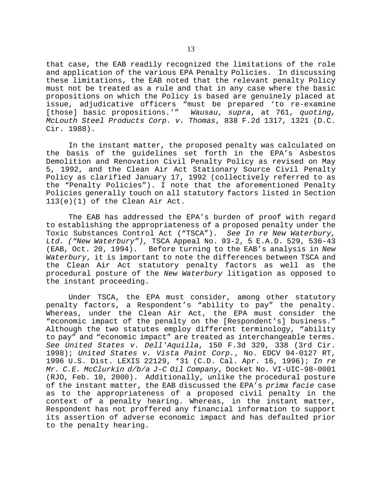that case, the EAB readily recognized the limitations of the role and application of the various EPA Penalty Policies. In discussing these limitations, the EAB noted that the relevant penalty Policy must not be treated as a rule and that in any case where the basic propositions on which the Policy is based are genuinely placed at issue, adjudicative officers "must be prepared 'to re-examine [those] basic propositions.'" *Wausau*, *supra*, at 761, *quoting, McLouth Steel Products Corp. v. Thomas*, 838 F.2d 1317, 1321 (D.C. Cir. 1988).

In the instant matter, the proposed penalty was calculated on the basis of the guidelines set forth in the EPA's Asbestos Demolition and Renovation Civil Penalty Policy as revised on May 5, 1992, and the Clean Air Act Stationary Source Civil Penalty Policy as clarified January 17, 1992 (collectively referred to as the "Penalty Policies"). I note that the aforementioned Penalty Policies generally touch on all statutory factors listed in Section 113(e)(1) of the Clean Air Act.

The EAB has addressed the EPA's burden of proof with regard to establishing the appropriateness of a proposed penalty under the Toxic Substances Control Act ("TSCA"). *See In re New Waterbury, Ltd. ("New Waterbury"),* TSCA Appeal No. 93-2, 5 E.A.D. 529, 536-43 (EAB, Oct. 20, 1994). Before turning to the EAB's analysis in *New Waterbury*, it is important to note the differences between TSCA and the Clean Air Act statutory penalty factors as well as the procedural posture of the *New Waterbury* litigation as opposed to the instant proceeding.

Under TSCA, the EPA must consider, among other statutory penalty factors, a Respondent's "ability to pay" the penalty. Whereas, under the Clean Air Act, the EPA must consider the "economic impact of the penalty on the [Respondent's] business." Although the two statutes employ different terminology, "ability to pay" and "economic impact" are treated as interchangeable terms. *See United States v. Dell'Aquilla*, 150 F.3d 329, 338 (3rd Cir. 1998); *United States v. Vista Paint Corp.*, No. EDCV 94-0127 RT, 1996 U.S. Dist. LEXIS 22129, \*31 (C.D. Cal. Apr. 16, 1996); *In re Mr. C.E. McClurkin d/b/a J-C Oil Company*, Docket No. VI-UIC-98-0001 (RJO, Feb. 10, 2000). Additionally, unlike the procedural posture of the instant matter, the EAB discussed the EPA's *prima facie* case as to the appropriateness of a proposed civil penalty in the context of a penalty hearing. Whereas, in the instant matter, Respondent has not proffered any financial information to support its assertion of adverse economic impact and has defaulted prior to the penalty hearing.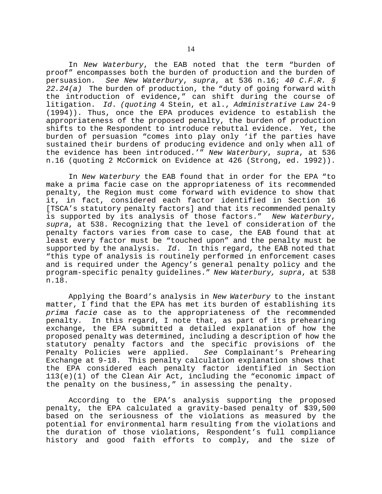In *New Waterbury*, the EAB noted that the term "burden of proof" encompasses both the burden of production and the burden of persuasion. *See New Waterbury*, *supra*, at 536 n.16; *40 C.F.R. § 22.24(a)* The burden of production, the "duty of going forward with the introduction of evidence," can shift during the course of litigation. *Id*. *(quoting* 4 Stein, et al., *Administrative Law* 24-9 (1994)). Thus, once the EPA produces evidence to establish the appropriateness of the proposed penalty, the burden of production shifts to the Respondent to introduce rebuttal evidence. Yet, the burden of persuasion "comes into play only 'if the parties have sustained their burdens of producing evidence and only when all of the evidence has been introduced.'" *New Waterbury*, *supra*, at 536 n.16 (quoting 2 McCormick on Evidence at 426 (Strong, ed. 1992)).

In *New Waterbury* the EAB found that in order for the EPA "to make a prima facie case on the appropriateness of its recommended penalty, the Region must come forward with evidence to show that it, in fact, considered each factor identified in Section 16 [TSCA's statutory penalty factors] and that its recommended penalty is supported by its analysis of those factors." *New Waterbury*, *supra*, at 538. Recognizing that the level of consideration of the penalty factors varies from case to case, the EAB found that at least every factor must be "touched upon" and the penalty must be supported by the analysis. *Id*. In this regard, the EAB noted that "this type of analysis is routinely performed in enforcement cases and is required under the Agency's general penalty policy and the program-specific penalty guidelines." *New Waterbury, supra*, at 538 n.18.

Applying the Board's analysis in *New Waterbury* to the instant matter, I find that the EPA has met its burden of establishing its *prima facie* case as to the appropriateness of the recommended penalty. In this regard, I note that, as part of its prehearing exchange, the EPA submitted a detailed explanation of how the proposed penalty was determined, including a description of how the statutory penalty factors and the specific provisions of the<br>Penalty Policies were applied. See Complainant's Prehearing Penalty Policies were applied. Exchange at 9-18. This penalty calculation explanation shows that the EPA considered each penalty factor identified in Section 113(e)(1) of the Clean Air Act, including the "economic impact of the penalty on the business," in assessing the penalty.

According to the EPA's analysis supporting the proposed penalty, the EPA calculated a gravity-based penalty of \$39,500 based on the seriousness of the violations as measured by the potential for environmental harm resulting from the violations and the duration of those violations, Respondent's full compliance history and good faith efforts to comply, and the size of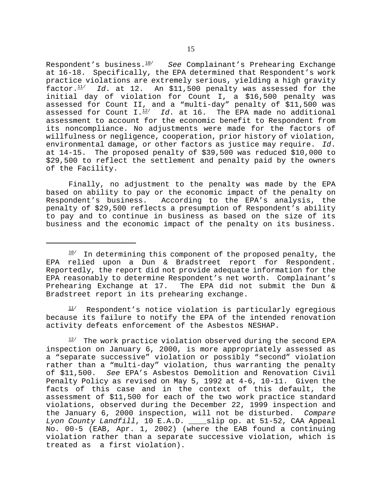Respondent's business.10/ *See* Complainant's Prehearing Exchange at 16-18. Specifically, the EPA determined that Respondent's work practice violations are extremely serious, yielding a high gravity factor. $\frac{11}{1}$  *Id*. at 12. An \$11,500 penalty was assessed for the initial day of violation for Count I, a \$16,500 penalty was assessed for Count II, and a "multi-day" penalty of \$11,500 was assessed for Count I.12/ *Id*. at 16. The EPA made no additional assessment to account for the economic benefit to Respondent from its noncompliance. No adjustments were made for the factors of willfulness or negligence, cooperation, prior history of violation, environmental damage, or other factors as justice may require. *Id*. at 14-15. The proposed penalty of \$39,500 was reduced \$10,000 to \$29,500 to reflect the settlement and penalty paid by the owners of the Facility.

Finally, no adjustment to the penalty was made by the EPA based on ability to pay or the economic impact of the penalty on Respondent's business. According to the EPA's analysis, the penalty of \$29,500 reflects a presumption of Respondent's ability to pay and to continue in business as based on the size of its business and the economic impact of the penalty on its business.

 $11/$  Respondent's notice violation is particularly egregious because its failure to notify the EPA of the intended renovation activity defeats enforcement of the Asbestos NESHAP.

 $12/$  The work practice violation observed during the second EPA inspection on January 6, 2000, is more appropriately assessed as a "separate successive" violation or possibly "second" violation rather than a "multi-day" violation, thus warranting the penalty of \$11,500. *See* EPA's Asbestos Demolition and Renovation Civil Penalty Policy as revised on May 5, 1992 at 4-6, 10-11. Given the facts of this case and in the context of this default, the assessment of \$11,500 for each of the two work practice standard violations, observed during the December 22, 1999 inspection and the January 6, 2000 inspection, will not be disturbed. *Compare Lyon County Landfill*, 10 E.A.D. \_\_\_\_slip op. at 51-52, CAA Appeal No. 00-5 (EAB, Apr. 1, 2002) (where the EAB found a continuing violation rather than a separate successive violation, which is treated as a first violation).

 $10$ <sup>10</sup> In determining this component of the proposed penalty, the EPA relied upon a Dun & Bradstreet report for Respondent. Reportedly, the report did not provide adequate information for the EPA reasonably to determine Respondent's net worth. Complainant's Prehearing Exchange at 17. The EPA did not submit the Dun & Bradstreet report in its prehearing exchange.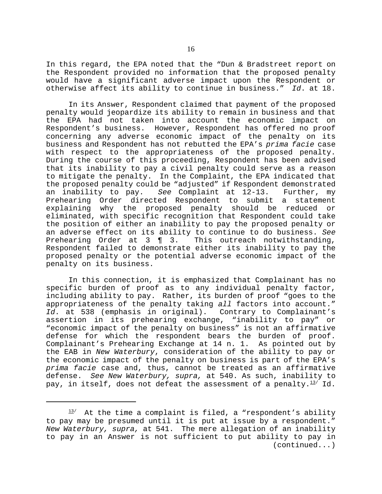In this regard, the EPA noted that the "Dun & Bradstreet report on the Respondent provided no information that the proposed penalty would have a significant adverse impact upon the Respondent or otherwise affect its ability to continue in business." *Id*. at 18.

In its Answer, Respondent claimed that payment of the proposed penalty would jeopardize its ability to remain in business and that the EPA had not taken into account the economic impact on Respondent's business. However, Respondent has offered no proof concerning any adverse economic impact of the penalty on its business and Respondent has not rebutted the EPA's *prima facie* case with respect to the appropriateness of the proposed penalty. During the course of this proceeding, Respondent has been advised that its inability to pay a civil penalty could serve as a reason to mitigate the penalty. In the Complaint, the EPA indicated that the proposed penalty could be "adjusted" if Respondent demonstrated an inability to pay. *See* Complaint at 12-13. Further, my Prehearing Order directed Respondent to submit a statement explaining why the proposed penalty should be reduced or eliminated, with specific recognition that Respondent could take the position of either an inability to pay the proposed penalty or an adverse effect on its ability to continue to do business. *See*  Prehearing Order at  $3 \in \mathbb{R}$  3. Respondent failed to demonstrate either its inability to pay the proposed penalty or the potential adverse economic impact of the penalty on its business.

In this connection, it is emphasized that Complainant has no specific burden of proof as to any individual penalty factor, including ability to pay. Rather, its burden of proof "goes to the appropriateness of the penalty taking *all* factors into account." *Id*. at 538 (emphasis in original). Contrary to Complainant's assertion in its prehearing exchange, "inability to pay" or "economic impact of the penalty on business" is not an affirmative defense for which the respondent bears the burden of proof. Complainant's Prehearing Exchange at 14 n. 1. As pointed out by the EAB in *New Waterbury*, consideration of the ability to pay or the economic impact of the penalty on business is part of the EPA's *prima facie* case and, thus, cannot be treated as an affirmative defense. *See New Waterbury, supra,* at 540. As such, inability to pay, in itself, does not defeat the assessment of a penalty. $^{13/}$  Id.

 $13/$  At the time a complaint is filed, a "respondent's ability to pay may be presumed until it is put at issue by a respondent." *New Waterbury, supra,* at 541. The mere allegation of an inability to pay in an Answer is not sufficient to put ability to pay in (continued...)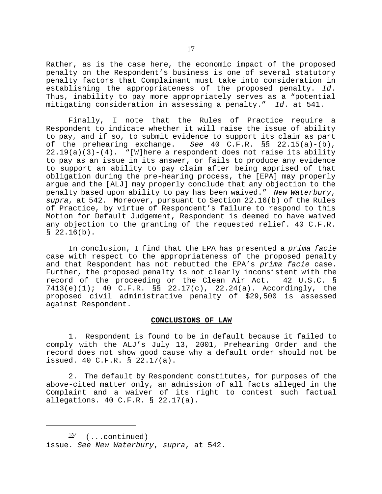Rather, as is the case here, the economic impact of the proposed penalty on the Respondent's business is one of several statutory penalty factors that Complainant must take into consideration in establishing the appropriateness of the proposed penalty. *Id*. Thus, inability to pay more appropriately serves as a "potential mitigating consideration in assessing a penalty." *Id*. at 541.

Finally, I note that the Rules of Practice require a Respondent to indicate whether it will raise the issue of ability to pay, and if so, to submit evidence to support its claim as part of the prehearing exchange. *See* 40 C.F.R. §§ 22.15(a)-(b),  $22.19(a)(3)-(4)$ . "[W]here a respondent does not raise its ability to pay as an issue in its answer, or fails to produce any evidence to support an ability to pay claim after being apprised of that obligation during the pre-hearing process, the [EPA] may properly argue and the [ALJ] may properly conclude that any objection to the penalty based upon ability to pay has been waived." *New Waterbury*, *supra*, at 542. Moreover, pursuant to Section 22.16(b) of the Rules of Practice, by virtue of Respondent's failure to respond to this Motion for Default Judgement, Respondent is deemed to have waived any objection to the granting of the requested relief. 40 C.F.R.  $$22.16(b).$ 

In conclusion, I find that the EPA has presented a *prima facie*  case with respect to the appropriateness of the proposed penalty and that Respondent has not rebutted the EPA's *prima facie* case. Further, the proposed penalty is not clearly inconsistent with the record of the proceeding or the Clean Air Act. 42 U.S.C. § 7413(e)(1); 40 C.F.R. §§ 22.17(c), 22.24(a). Accordingly, the proposed civil administrative penalty of \$29,500 is assessed against Respondent.

### **CONCLUSIONS OF LAW**

1. Respondent is found to be in default because it failed to comply with the ALJ's July 13, 2001, Prehearing Order and the record does not show good cause why a default order should not be issued. 40 C.F.R. § 22.17(a).

2. The default by Respondent constitutes, for purposes of the above-cited matter only, an admission of all facts alleged in the Complaint and a waiver of its right to contest such factual allegations. 40 C.F.R. § 22.17(a).

 $\frac{13}{ }$  (...continued) issue. *See New Waterbury*, *supra*, at 542.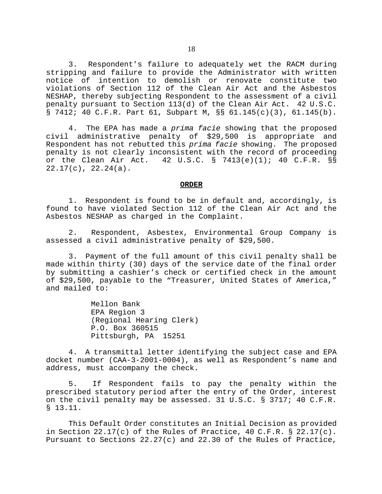3. Respondent's failure to adequately wet the RACM during stripping and failure to provide the Administrator with written notice of intention to demolish or renovate constitute two violations of Section 112 of the Clean Air Act and the Asbestos NESHAP, thereby subjecting Respondent to the assessment of a civil penalty pursuant to Section 113(d) of the Clean Air Act. 42 U.S.C. § 7412; 40 C.F.R. Part 61, Subpart M, §§ 61.145(c)(3), 61.145(b).

4. The EPA has made a *prima facie* showing that the proposed civil administrative penalty of \$29,500 is appropriate and Respondent has not rebutted this *prima facie* showing. The proposed penalty is not clearly inconsistent with the record of proceeding or the Clean Air Act. 42 U.S.C. § 7413(e)(1); 40 C.F.R. §§ 22.17(c), 22.24(a).

#### **ORDER**

1. Respondent is found to be in default and, accordingly, is found to have violated Section 112 of the Clean Air Act and the Asbestos NESHAP as charged in the Complaint.

2. Respondent, Asbestex, Environmental Group Company is assessed a civil administrative penalty of \$29,500.

3. Payment of the full amount of this civil penalty shall be made within thirty (30) days of the service date of the final order by submitting a cashier's check or certified check in the amount of \$29,500, payable to the "Treasurer, United States of America," and mailed to:

> Mellon Bank EPA Region 3 (Regional Hearing Clerk) P.O. Box 360515 Pittsburgh, PA 15251

4. A transmittal letter identifying the subject case and EPA docket number (CAA-3-2001-0004), as well as Respondent's name and address, must accompany the check.

5. If Respondent fails to pay the penalty within the prescribed statutory period after the entry of the Order, interest on the civil penalty may be assessed. 31 U.S.C. § 3717; 40 C.F.R. § 13.11.

This Default Order constitutes an Initial Decision as provided in Section 22.17(c) of the Rules of Practice, 40 C.F.R. § 22.17(c). Pursuant to Sections 22.27(c) and 22.30 of the Rules of Practice,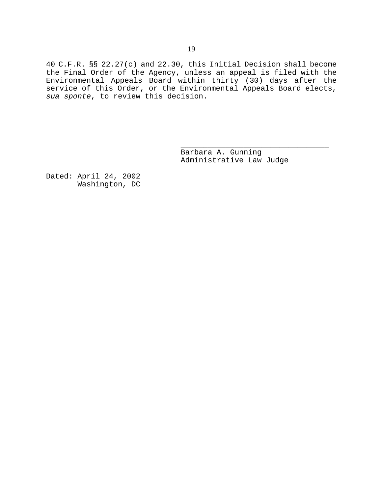40 C.F.R. §§ 22.27(c) and 22.30, this Initial Decision shall become the Final Order of the Agency, unless an appeal is filed with the Environmental Appeals Board within thirty (30) days after the service of this Order, or the Environmental Appeals Board elects, *sua sponte*, to review this decision.

> Barbara A. Gunning Administrative Law Judge

\_\_\_\_\_\_\_\_\_\_\_\_\_\_\_\_\_\_\_\_\_\_\_\_\_\_\_\_\_\_\_\_\_

Dated: April 24, 2002 Washington, DC